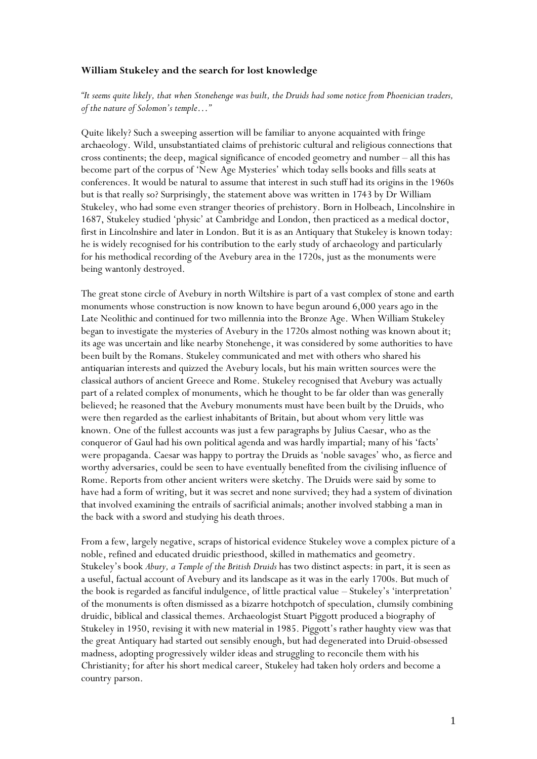## **William Stukeley and the search for lost knowledge**

*"It seems quite likely, that when Stonehenge was built, the Druids had some notice from Phoenician traders, of the nature of Solomon's temple…"* 

Quite likely? Such a sweeping assertion will be familiar to anyone acquainted with fringe archaeology. Wild, unsubstantiated claims of prehistoric cultural and religious connections that cross continents; the deep, magical significance of encoded geometry and number – all this has become part of the corpus of 'New Age Mysteries' which today sells books and fills seats at conferences. It would be natural to assume that interest in such stuff had its origins in the 1960s but is that really so? Surprisingly, the statement above was written in 1743 by Dr William Stukeley, who had some even stranger theories of prehistory. Born in Holbeach, Lincolnshire in 1687, Stukeley studied 'physic' at Cambridge and London, then practiced as a medical doctor, first in Lincolnshire and later in London. But it is as an Antiquary that Stukeley is known today: he is widely recognised for his contribution to the early study of archaeology and particularly for his methodical recording of the Avebury area in the 1720s, just as the monuments were being wantonly destroyed.

The great stone circle of Avebury in north Wiltshire is part of a vast complex of stone and earth monuments whose construction is now known to have begun around 6,000 years ago in the Late Neolithic and continued for two millennia into the Bronze Age. When William Stukeley began to investigate the mysteries of Avebury in the 1720s almost nothing was known about it; its age was uncertain and like nearby Stonehenge, it was considered by some authorities to have been built by the Romans. Stukeley communicated and met with others who shared his antiquarian interests and quizzed the Avebury locals, but his main written sources were the classical authors of ancient Greece and Rome. Stukeley recognised that Avebury was actually part of a related complex of monuments, which he thought to be far older than was generally believed; he reasoned that the Avebury monuments must have been built by the Druids, who were then regarded as the earliest inhabitants of Britain, but about whom very little was known. One of the fullest accounts was just a few paragraphs by Julius Caesar, who as the conqueror of Gaul had his own political agenda and was hardly impartial; many of his 'facts' were propaganda. Caesar was happy to portray the Druids as 'noble savages' who, as fierce and worthy adversaries, could be seen to have eventually benefited from the civilising influence of Rome. Reports from other ancient writers were sketchy. The Druids were said by some to have had a form of writing, but it was secret and none survived; they had a system of divination that involved examining the entrails of sacrificial animals; another involved stabbing a man in the back with a sword and studying his death throes.

From a few, largely negative, scraps of historical evidence Stukeley wove a complex picture of a noble, refined and educated druidic priesthood, skilled in mathematics and geometry. Stukeley's book *Abury, a Temple of the British Druids* has two distinct aspects: in part, it is seen as a useful, factual account of Avebury and its landscape as it was in the early 1700s. But much of the book is regarded as fanciful indulgence, of little practical value – Stukeley's 'interpretation' of the monuments is often dismissed as a bizarre hotchpotch of speculation, clumsily combining druidic, biblical and classical themes. Archaeologist Stuart Piggott produced a biography of Stukeley in 1950, revising it with new material in 1985. Piggott's rather haughty view was that the great Antiquary had started out sensibly enough, but had degenerated into Druid-obsessed madness, adopting progressively wilder ideas and struggling to reconcile them with his Christianity; for after his short medical career, Stukeley had taken holy orders and become a country parson.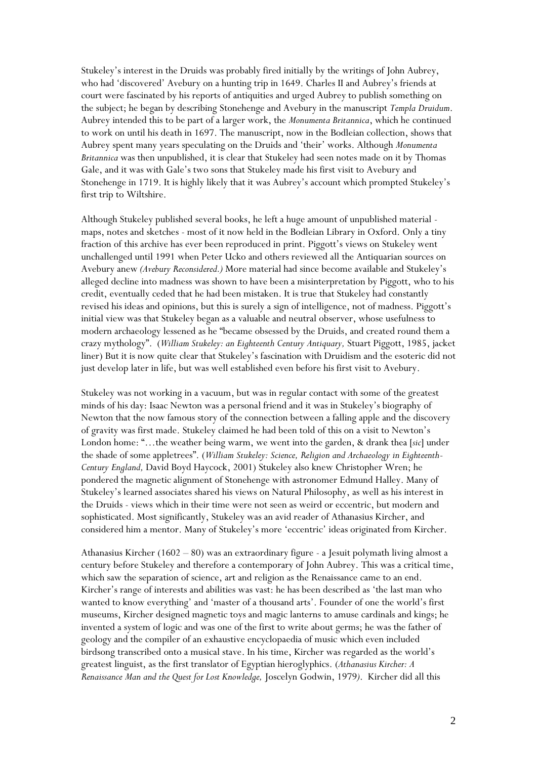Stukeley's interest in the Druids was probably fired initially by the writings of John Aubrey, who had 'discovered' Avebury on a hunting trip in 1649. Charles II and Aubrey's friends at court were fascinated by his reports of antiquities and urged Aubrey to publish something on the subject; he began by describing Stonehenge and Avebury in the manuscript *Templa Druidum*. Aubrey intended this to be part of a larger work, the *Monumenta Britannica*, which he continued to work on until his death in 1697. The manuscript, now in the Bodleian collection, shows that Aubrey spent many years speculating on the Druids and 'their' works. Although *Monumenta Britannica* was then unpublished, it is clear that Stukeley had seen notes made on it by Thomas Gale, and it was with Gale's two sons that Stukeley made his first visit to Avebury and Stonehenge in 1719. It is highly likely that it was Aubrey's account which prompted Stukeley's first trip to Wiltshire.

Although Stukeley published several books, he left a huge amount of unpublished material maps, notes and sketches - most of it now held in the Bodleian Library in Oxford. Only a tiny fraction of this archive has ever been reproduced in print. Piggott's views on Stukeley went unchallenged until 1991 when Peter Ucko and others reviewed all the Antiquarian sources on Avebury anew *(Avebury Reconsidered.)* More material had since become available and Stukeley's alleged decline into madness was shown to have been a misinterpretation by Piggott, who to his credit, eventually ceded that he had been mistaken. It is true that Stukeley had constantly revised his ideas and opinions, but this is surely a sign of intelligence, not of madness. Piggott's initial view was that Stukeley began as a valuable and neutral observer, whose usefulness to modern archaeology lessened as he "became obsessed by the Druids, and created round them a crazy mythology". (*William Stukeley: an Eighteenth Century Antiquary,* Stuart Piggott, 1985, jacket liner) But it is now quite clear that Stukeley's fascination with Druidism and the esoteric did not just develop later in life, but was well established even before his first visit to Avebury.

Stukeley was not working in a vacuum, but was in regular contact with some of the greatest minds of his day: Isaac Newton was a personal friend and it was in Stukeley's biography of Newton that the now famous story of the connection between a falling apple and the discovery of gravity was first made. Stukeley claimed he had been told of this on a visit to Newton's London home: "…the weather being warm, we went into the garden, & drank thea [*sic*] under the shade of some appletrees". (*William Stukeley: Science, Religion and Archaeology in Eighteenth-Century England,* David Boyd Haycock, 2001) Stukeley also knew Christopher Wren; he pondered the magnetic alignment of Stonehenge with astronomer Edmund Halley. Many of Stukeley's learned associates shared his views on Natural Philosophy, as well as his interest in the Druids - views which in their time were not seen as weird or eccentric, but modern and sophisticated. Most significantly, Stukeley was an avid reader of Athanasius Kircher, and considered him a mentor. Many of Stukeley's more 'eccentric' ideas originated from Kircher.

Athanasius Kircher (1602 – 80) was an extraordinary figure - a Jesuit polymath living almost a century before Stukeley and therefore a contemporary of John Aubrey. This was a critical time, which saw the separation of science, art and religion as the Renaissance came to an end. Kircher's range of interests and abilities was vast: he has been described as 'the last man who wanted to know everything' and 'master of a thousand arts'. Founder of one the world's first museums, Kircher designed magnetic toys and magic lanterns to amuse cardinals and kings; he invented a system of logic and was one of the first to write about germs; he was the father of geology and the compiler of an exhaustive encyclopaedia of music which even included birdsong transcribed onto a musical stave. In his time, Kircher was regarded as the world's greatest linguist, as the first translator of Egyptian hieroglyphics. (*Athanasius Kircher: A Renaissance Man and the Quest for Lost Knowledge,* Joscelyn Godwin, 1979*)*. Kircher did all this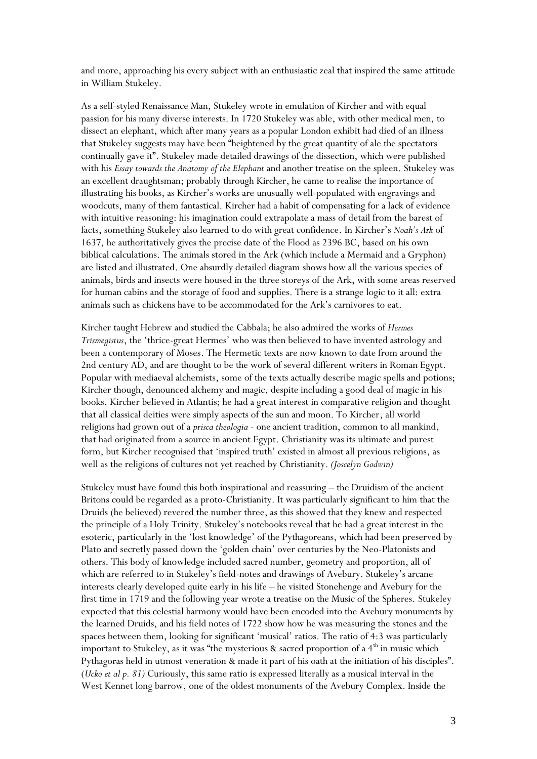and more, approaching his every subject with an enthusiastic zeal that inspired the same attitude in William Stukeley.

As a self-styled Renaissance Man, Stukeley wrote in emulation of Kircher and with equal passion for his many diverse interests. In 1720 Stukeley was able, with other medical men, to dissect an elephant, which after many years as a popular London exhibit had died of an illness that Stukeley suggests may have been "heightened by the great quantity of ale the spectators continually gave it". Stukeley made detailed drawings of the dissection, which were published with his *Essay towards the Anatomy of the Elephant* and another treatise on the spleen. Stukeley was an excellent draughtsman; probably through Kircher, he came to realise the importance of illustrating his books, as Kircher's works are unusually well-populated with engravings and woodcuts, many of them fantastical. Kircher had a habit of compensating for a lack of evidence with intuitive reasoning: his imagination could extrapolate a mass of detail from the barest of facts, something Stukeley also learned to do with great confidence. In Kircher's *Noah's Ark* of 1637, he authoritatively gives the precise date of the Flood as 2396 BC, based on his own biblical calculations. The animals stored in the Ark (which include a Mermaid and a Gryphon) are listed and illustrated. One absurdly detailed diagram shows how all the various species of animals, birds and insects were housed in the three storeys of the Ark, with some areas reserved for human cabins and the storage of food and supplies. There is a strange logic to it all: extra animals such as chickens have to be accommodated for the Ark's carnivores to eat.

Kircher taught Hebrew and studied the Cabbala; he also admired the works of *Hermes Trismegistus*, the 'thrice-great Hermes' who was then believed to have invented astrology and been a contemporary of Moses. The Hermetic texts are now known to date from around the 2nd century AD, and are thought to be the work of several different writers in Roman Egypt. Popular with mediaeval alchemists, some of the texts actually describe magic spells and potions; Kircher though, denounced alchemy and magic, despite including a good deal of magic in his books. Kircher believed in Atlantis; he had a great interest in comparative religion and thought that all classical deities were simply aspects of the sun and moon. To Kircher, all world religions had grown out of a *prisca theologia* - one ancient tradition, common to all mankind, that had originated from a source in ancient Egypt. Christianity was its ultimate and purest form, but Kircher recognised that 'inspired truth' existed in almost all previous religions, as well as the religions of cultures not yet reached by Christianity. *(Joscelyn Godwin)*

Stukeley must have found this both inspirational and reassuring – the Druidism of the ancient Britons could be regarded as a proto-Christianity. It was particularly significant to him that the Druids (he believed) revered the number three, as this showed that they knew and respected the principle of a Holy Trinity. Stukeley's notebooks reveal that he had a great interest in the esoteric, particularly in the 'lost knowledge' of the Pythagoreans, which had been preserved by Plato and secretly passed down the 'golden chain' over centuries by the Neo-Platonists and others. This body of knowledge included sacred number, geometry and proportion, all of which are referred to in Stukeley's field-notes and drawings of Avebury. Stukeley's arcane interests clearly developed quite early in his life – he visited Stonehenge and Avebury for the first time in 1719 and the following year wrote a treatise on the Music of the Spheres. Stukeley expected that this celestial harmony would have been encoded into the Avebury monuments by the learned Druids, and his field notes of 1722 show how he was measuring the stones and the spaces between them, looking for significant 'musical' ratios. The ratio of 4:3 was particularly important to Stukeley, as it was "the mysterious & sacred proportion of a  $4<sup>th</sup>$  in music which Pythagoras held in utmost veneration & made it part of his oath at the initiation of his disciples". (*Ucko et al p. 81)* Curiously, this same ratio is expressed literally as a musical interval in the West Kennet long barrow, one of the oldest monuments of the Avebury Complex. Inside the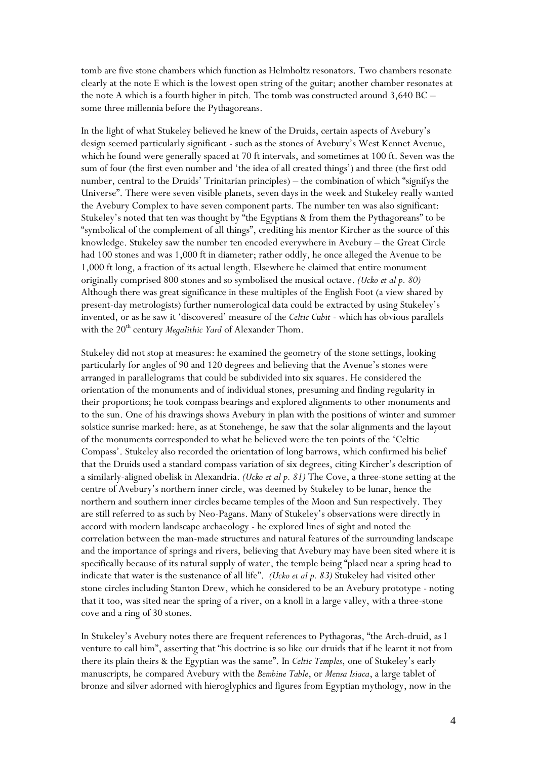tomb are five stone chambers which function as Helmholtz resonators. Two chambers resonate clearly at the note E which is the lowest open string of the guitar; another chamber resonates at the note A which is a fourth higher in pitch. The tomb was constructed around 3,640 BC – some three millennia before the Pythagoreans.

In the light of what Stukeley believed he knew of the Druids, certain aspects of Avebury's design seemed particularly significant - such as the stones of Avebury's West Kennet Avenue, which he found were generally spaced at 70 ft intervals, and sometimes at 100 ft. Seven was the sum of four (the first even number and 'the idea of all created things') and three (the first odd number, central to the Druids' Trinitarian principles) – the combination of which "signifys the Universe". There were seven visible planets, seven days in the week and Stukeley really wanted the Avebury Complex to have seven component parts. The number ten was also significant: Stukeley's noted that ten was thought by "the Egyptians & from them the Pythagoreans" to be "symbolical of the complement of all things", crediting his mentor Kircher as the source of this knowledge. Stukeley saw the number ten encoded everywhere in Avebury – the Great Circle had 100 stones and was 1,000 ft in diameter; rather oddly, he once alleged the Avenue to be 1,000 ft long, a fraction of its actual length. Elsewhere he claimed that entire monument originally comprised 800 stones and so symbolised the musical octave. *(Ucko et al p. 80)* Although there was great significance in these multiples of the English Foot (a view shared by present-day metrologists) further numerological data could be extracted by using Stukeley's invented, or as he saw it 'discovered' measure of the *Celtic Cubit* - which has obvious parallels with the 20<sup>th</sup> century *Megalithic Yard* of Alexander Thom.

Stukeley did not stop at measures: he examined the geometry of the stone settings, looking particularly for angles of 90 and 120 degrees and believing that the Avenue's stones were arranged in parallelograms that could be subdivided into six squares. He considered the orientation of the monuments and of individual stones, presuming and finding regularity in their proportions; he took compass bearings and explored alignments to other monuments and to the sun. One of his drawings shows Avebury in plan with the positions of winter and summer solstice sunrise marked: here, as at Stonehenge, he saw that the solar alignments and the layout of the monuments corresponded to what he believed were the ten points of the 'Celtic Compass'. Stukeley also recorded the orientation of long barrows, which confirmed his belief that the Druids used a standard compass variation of six degrees, citing Kircher's description of a similarly-aligned obelisk in Alexandria. *(Ucko et al p. 81)* The Cove, a three-stone setting at the centre of Avebury's northern inner circle, was deemed by Stukeley to be lunar, hence the northern and southern inner circles became temples of the Moon and Sun respectively. They are still referred to as such by Neo-Pagans. Many of Stukeley's observations were directly in accord with modern landscape archaeology - he explored lines of sight and noted the correlation between the man-made structures and natural features of the surrounding landscape and the importance of springs and rivers, believing that Avebury may have been sited where it is specifically because of its natural supply of water, the temple being "placd near a spring head to indicate that water is the sustenance of all life". *(Ucko et al p. 83)* Stukeley had visited other stone circles including Stanton Drew, which he considered to be an Avebury prototype - noting that it too, was sited near the spring of a river, on a knoll in a large valley, with a three-stone cove and a ring of 30 stones.

In Stukeley's Avebury notes there are frequent references to Pythagoras, "the Arch-druid, as I venture to call him", asserting that "his doctrine is so like our druids that if he learnt it not from there its plain theirs & the Egyptian was the same". In *Celtic Temples*, one of Stukeley's early manuscripts, he compared Avebury with the *Bembine Table*, or *Mensa Isiaca*, a large tablet of bronze and silver adorned with hieroglyphics and figures from Egyptian mythology, now in the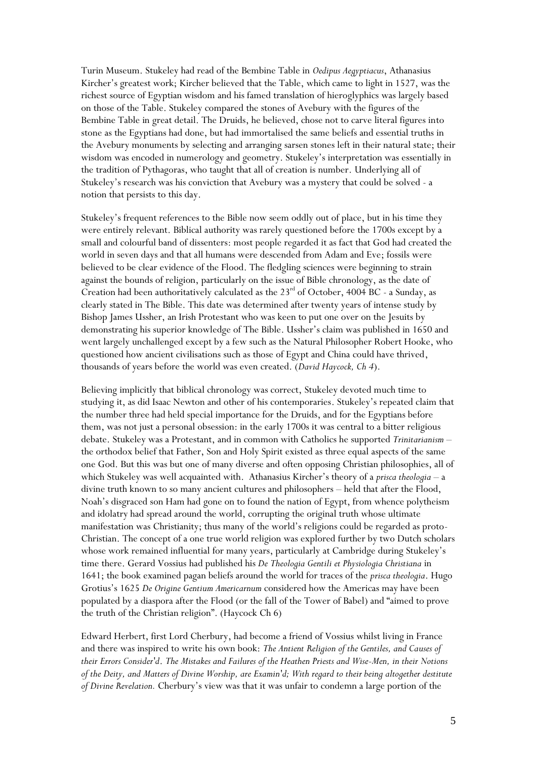Turin Museum. Stukeley had read of the Bembine Table in *Oedipus Aegyptiacus*, Athanasius Kircher's greatest work; Kircher believed that the Table, which came to light in 1527, was the richest source of Egyptian wisdom and his famed translation of hieroglyphics was largely based on those of the Table. Stukeley compared the stones of Avebury with the figures of the Bembine Table in great detail. The Druids, he believed, chose not to carve literal figures into stone as the Egyptians had done, but had immortalised the same beliefs and essential truths in the Avebury monuments by selecting and arranging sarsen stones left in their natural state; their wisdom was encoded in numerology and geometry. Stukeley's interpretation was essentially in the tradition of Pythagoras, who taught that all of creation is number. Underlying all of Stukeley's research was his conviction that Avebury was a mystery that could be solved - a notion that persists to this day.

Stukeley's frequent references to the Bible now seem oddly out of place, but in his time they were entirely relevant. Biblical authority was rarely questioned before the 1700s except by a small and colourful band of dissenters: most people regarded it as fact that God had created the world in seven days and that all humans were descended from Adam and Eve; fossils were believed to be clear evidence of the Flood. The fledgling sciences were beginning to strain against the bounds of religion, particularly on the issue of Bible chronology, as the date of Creation had been authoritatively calculated as the  $23<sup>rd</sup>$  of October, 4004 BC - a Sunday, as clearly stated in The Bible. This date was determined after twenty years of intense study by Bishop James Ussher, an Irish Protestant who was keen to put one over on the Jesuits by demonstrating his superior knowledge of The Bible. Ussher's claim was published in 1650 and went largely unchallenged except by a few such as the Natural Philosopher Robert Hooke, who questioned how ancient civilisations such as those of Egypt and China could have thrived, thousands of years before the world was even created. (*David Haycock, Ch 4*).

Believing implicitly that biblical chronology was correct, Stukeley devoted much time to studying it, as did Isaac Newton and other of his contemporaries. Stukeley's repeated claim that the number three had held special importance for the Druids, and for the Egyptians before them, was not just a personal obsession: in the early 1700s it was central to a bitter religious debate. Stukeley was a Protestant, and in common with Catholics he supported *Trinitarianism* – the orthodox belief that Father, Son and Holy Spirit existed as three equal aspects of the same one God. But this was but one of many diverse and often opposing Christian philosophies, all of which Stukeley was well acquainted with. Athanasius Kircher's theory of a *prisca theologia* – a divine truth known to so many ancient cultures and philosophers – held that after the Flood, Noah's disgraced son Ham had gone on to found the nation of Egypt, from whence polytheism and idolatry had spread around the world, corrupting the original truth whose ultimate manifestation was Christianity; thus many of the world's religions could be regarded as proto-Christian. The concept of a one true world religion was explored further by two Dutch scholars whose work remained influential for many years, particularly at Cambridge during Stukeley's time there. Gerard Vossius had published his *De Theologia Gentili et Physiologia Christiana* in 1641; the book examined pagan beliefs around the world for traces of the *prisca theologia*. Hugo Grotius's 1625 *De Origine Gentium Americarnum* considered how the Americas may have been populated by a diaspora after the Flood (or the fall of the Tower of Babel) and "aimed to prove the truth of the Christian religion". (Haycock Ch 6)

Edward Herbert, first Lord Cherbury, had become a friend of Vossius whilst living in France and there was inspired to write his own book: *The Antient Religion of the Gentiles, and Causes of their Errors Consider'd*. *The Mistakes and Failures of the Heathen Priests and Wise-Men, in their Notions of the Deity, and Matters of Divine Worship, are Examin'd; With regard to their being altogether destitute of Divine Revelation.* Cherbury's view was that it was unfair to condemn a large portion of the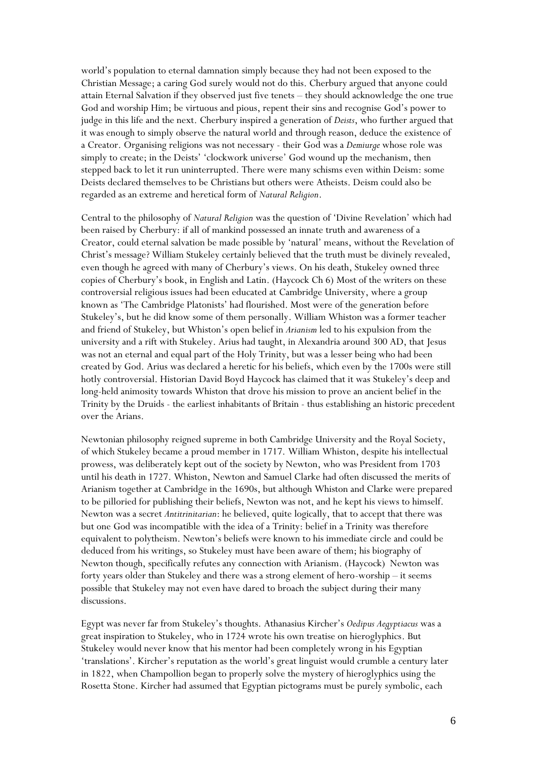world's population to eternal damnation simply because they had not been exposed to the Christian Message; a caring God surely would not do this. Cherbury argued that anyone could attain Eternal Salvation if they observed just five tenets – they should acknowledge the one true God and worship Him; be virtuous and pious, repent their sins and recognise God's power to judge in this life and the next. Cherbury inspired a generation of *Deists*, who further argued that it was enough to simply observe the natural world and through reason, deduce the existence of a Creator. Organising religions was not necessary - their God was a *Demiurge* whose role was simply to create; in the Deists' 'clockwork universe' God wound up the mechanism, then stepped back to let it run uninterrupted. There were many schisms even within Deism: some Deists declared themselves to be Christians but others were Atheists. Deism could also be regarded as an extreme and heretical form of *Natural Religion*.

Central to the philosophy of *Natural Religion* was the question of 'Divine Revelation' which had been raised by Cherbury: if all of mankind possessed an innate truth and awareness of a Creator, could eternal salvation be made possible by 'natural' means, without the Revelation of Christ's message? William Stukeley certainly believed that the truth must be divinely revealed, even though he agreed with many of Cherbury's views. On his death, Stukeley owned three copies of Cherbury's book, in English and Latin. (Haycock Ch 6) Most of the writers on these controversial religious issues had been educated at Cambridge University, where a group known as 'The Cambridge Platonists' had flourished. Most were of the generation before Stukeley's, but he did know some of them personally. William Whiston was a former teacher and friend of Stukeley, but Whiston's open belief in *Arianism* led to his expulsion from the university and a rift with Stukeley. Arius had taught, in Alexandria around 300 AD, that Jesus was not an eternal and equal part of the Holy Trinity, but was a lesser being who had been created by God. Arius was declared a heretic for his beliefs, which even by the 1700s were still hotly controversial. Historian David Boyd Haycock has claimed that it was Stukeley's deep and long-held animosity towards Whiston that drove his mission to prove an ancient belief in the Trinity by the Druids - the earliest inhabitants of Britain - thus establishing an historic precedent over the Arians.

Newtonian philosophy reigned supreme in both Cambridge University and the Royal Society, of which Stukeley became a proud member in 1717. William Whiston, despite his intellectual prowess, was deliberately kept out of the society by Newton, who was President from 1703 until his death in 1727. Whiston, Newton and Samuel Clarke had often discussed the merits of Arianism together at Cambridge in the 1690s, but although Whiston and Clarke were prepared to be pilloried for publishing their beliefs, Newton was not, and he kept his views to himself. Newton was a secret *Antitrinitarian*: he believed, quite logically, that to accept that there was but one God was incompatible with the idea of a Trinity: belief in a Trinity was therefore equivalent to polytheism. Newton's beliefs were known to his immediate circle and could be deduced from his writings, so Stukeley must have been aware of them; his biography of Newton though, specifically refutes any connection with Arianism. (Haycock) Newton was forty years older than Stukeley and there was a strong element of hero-worship – it seems possible that Stukeley may not even have dared to broach the subject during their many discussions.

Egypt was never far from Stukeley's thoughts. Athanasius Kircher's *Oedipus Aegyptiacus* was a great inspiration to Stukeley, who in 1724 wrote his own treatise on hieroglyphics. But Stukeley would never know that his mentor had been completely wrong in his Egyptian 'translations'. Kircher's reputation as the world's great linguist would crumble a century later in 1822, when Champollion began to properly solve the mystery of hieroglyphics using the Rosetta Stone. Kircher had assumed that Egyptian pictograms must be purely symbolic, each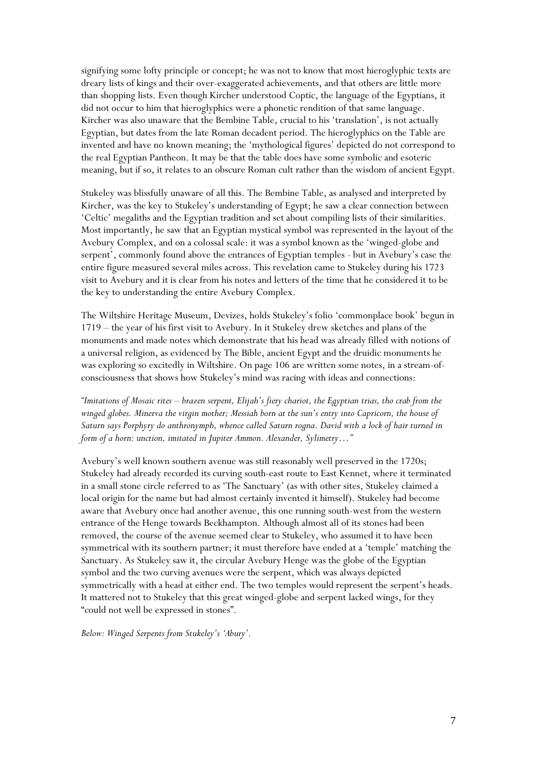signifying some lofty principle or concept; he was not to know that most hieroglyphic texts are dreary lists of kings and their over-exaggerated achievements, and that others are little more than shopping lists. Even though Kircher understood Coptic, the language of the Egyptians, it did not occur to him that hieroglyphics were a phonetic rendition of that same language. Kircher was also unaware that the Bembine Table, crucial to his 'translation', is not actually Egyptian, but dates from the late Roman decadent period. The hieroglyphics on the Table are invented and have no known meaning; the 'mythological figures' depicted do not correspond to the real Egyptian Pantheon. It may be that the table does have some symbolic and esoteric meaning, but if so, it relates to an obscure Roman cult rather than the wisdom of ancient Egypt.

Stukeley was blissfully unaware of all this. The Bembine Table, as analysed and interpreted by Kircher, was the key to Stukeley's understanding of Egypt; he saw a clear connection between 'Celtic' megaliths and the Egyptian tradition and set about compiling lists of their similarities. Most importantly, he saw that an Egyptian mystical symbol was represented in the layout of the Avebury Complex, and on a colossal scale: it was a symbol known as the 'winged-globe and serpent', commonly found above the entrances of Egyptian temples - but in Avebury's case the entire figure measured several miles across. This revelation came to Stukeley during his 1723 visit to Avebury and it is clear from his notes and letters of the time that he considered it to be the key to understanding the entire Avebury Complex.

The Wiltshire Heritage Museum, Devizes, holds Stukeley's folio 'commonplace book' begun in 1719 – the year of his first visit to Avebury. In it Stukeley drew sketches and plans of the monuments and made notes which demonstrate that his head was already filled with notions of a universal religion, as evidenced by The Bible, ancient Egypt and the druidic monuments he was exploring so excitedly in Wiltshire. On page 106 are written some notes, in a stream-ofconsciousness that shows how Stukeley's mind was racing with ideas and connections:

*"Imitations of Mosaic rites – brazen serpent, Elijah's fiery chariot, the Egyptian trias, tho crab from the winged globes. Minerva the virgin mother; Messiah born at the sun's entry into Capricorn, the house of Saturn says Porphyry do anthronymph, whence called Saturn rogna. David with a lock of hair turned in form of a horn: unction, imitated in Jupiter Ammon. Alexander, Sylimetry…"* 

Avebury's well known southern avenue was still reasonably well preserved in the 1720s; Stukeley had already recorded its curving south-east route to East Kennet, where it terminated in a small stone circle referred to as 'The Sanctuary' (as with other sites, Stukeley claimed a local origin for the name but had almost certainly invented it himself). Stukeley had become aware that Avebury once had another avenue, this one running south-west from the western entrance of the Henge towards Beckhampton. Although almost all of its stones had been removed, the course of the avenue seemed clear to Stukeley, who assumed it to have been symmetrical with its southern partner; it must therefore have ended at a 'temple' matching the Sanctuary. As Stukeley saw it, the circular Avebury Henge was the globe of the Egyptian symbol and the two curving avenues were the serpent, which was always depicted symmetrically with a head at either end. The two temples would represent the serpent's heads. It mattered not to Stukeley that this great winged-globe and serpent lacked wings, for they "could not well be expressed in stones".

*Below: Winged Serpents from Stukeley's 'Abury'.*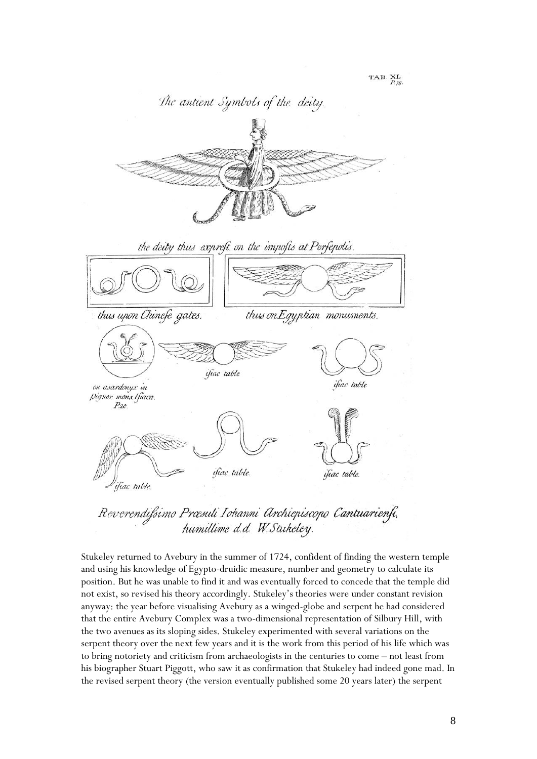

Reverendifsimo Præsuli Iohanni Archiepiscopo Cantuarienfi. humillime d.d. W. Stukeley.

Stukeley returned to Avebury in the summer of 1724, confident of finding the western temple and using his knowledge of Egypto-druidic measure, number and geometry to calculate its position. But he was unable to find it and was eventually forced to concede that the temple did not exist, so revised his theory accordingly. Stukeley's theories were under constant revision anyway: the year before visualising Avebury as a winged-globe and serpent he had considered that the entire Avebury Complex was a two-dimensional representation of Silbury Hill, with the two avenues as its sloping sides. Stukeley experimented with several variations on the serpent theory over the next few years and it is the work from this period of his life which was to bring notoriety and criticism from archaeologists in the centuries to come – not least from his biographer Stuart Piggott, who saw it as confirmation that Stukeley had indeed gone mad. In the revised serpent theory (the version eventually published some 20 years later) the serpent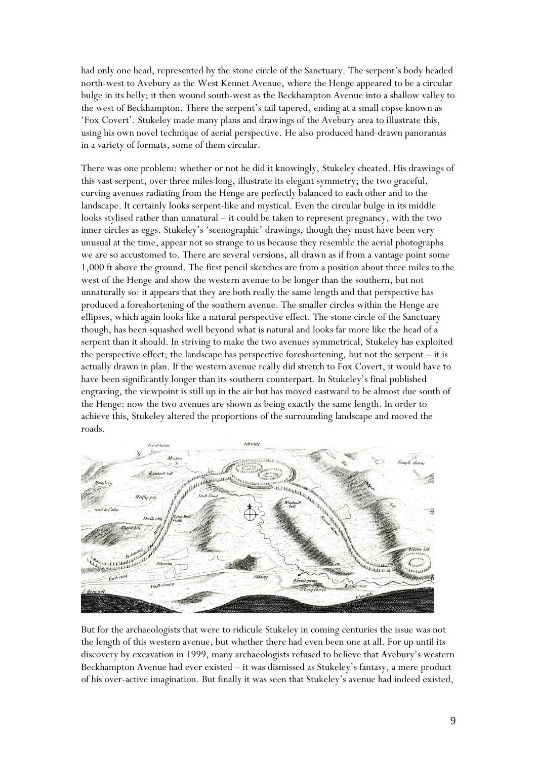had only one head, represented by the stone circle of the Sanctuary. The serpent's body headed north-west to Avebury as the West Kennet Avenue, where the Henge appeared to be a circular bulge in its belly; it then wound south-west as the Beckhampton Avenue into a shallow valley to the west of Beckhampton. There the serpent's tail tapered, ending at a small copse known as 'Fox Covert'. Stukeley made many plans and drawings of the Avebury area to illustrate this, using his own novel technique of aerial perspective. He also produced hand-drawn panoramas in a variety of formats, some of them circular.

There was one problem: whether or not he did it knowingly, Stukeley cheated. His drawings of this vast serpent, over three miles long, illustrate its elegant symmetry; the two graceful, curving avenues radiating from the Henge are perfectly balanced to each other and to the landscape. It certainly looks serpent-like and mystical. Even the circular bulge in its middle looks stylised rather than unnatural – it could be taken to represent pregnancy, with the two inner circles as eggs. Stukeley's 'scenographic' drawings, though they must have been very unusual at the time, appear not so strange to us because they resemble the aerial photographs we are so accustomed to. There are several versions, all drawn as if from a vantage point some 1,000 ft above the ground. The first pencil sketches are from a position about three miles to the west of the Henge and show the western avenue to be longer than the southern, but not unnaturally so: it appears that they are both really the same length and that perspective has produced a foreshortening of the southern avenue. The smaller circles within the Henge are ellipses, which again looks like a natural perspective effect. The stone circle of the Sanctuary though, has been squashed well beyond what is natural and looks far more like the head of a serpent than it should. In striving to make the two avenues symmetrical, Stukeley has exploited the perspective effect; the landscape has perspective foreshortening, but not the serpent – it is actually drawn in plan. If the western avenue really did stretch to Fox Covert, it would have to have been significantly longer than its southern counterpart. In Stukeley's final published engraving, the viewpoint is still up in the air but has moved eastward to be almost due south of the Henge: now the two avenues are shown as being exactly the same length. In order to achieve this, Stukeley altered the proportions of the surrounding landscape and moved the roads.



But for the archaeologists that were to ridicule Stukeley in coming centuries the issue was not the length of this western avenue, but whether there had even been one at all. For up until its discovery by excavation in 1999, many archaeologists refused to believe that Avebury's western Beckhampton Avenue had ever existed – it was dismissed as Stukeley's fantasy, a mere product of his over-active imagination. But finally it was seen that Stukeley's avenue had indeed existed,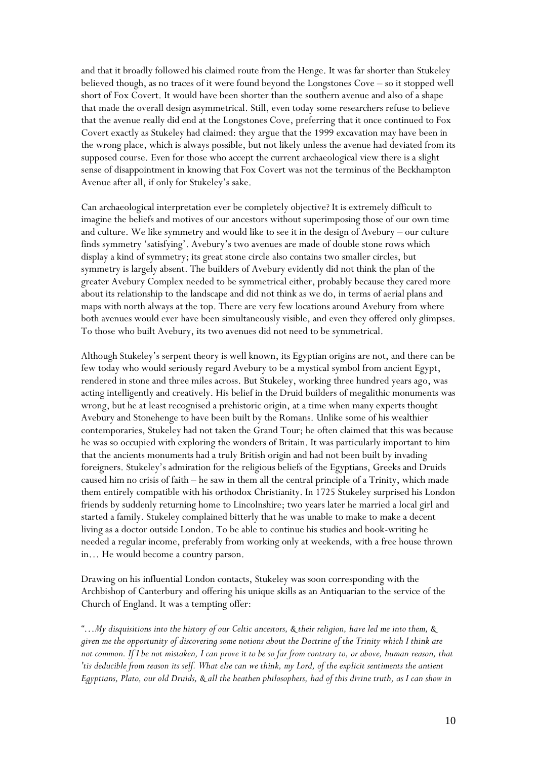and that it broadly followed his claimed route from the Henge. It was far shorter than Stukeley believed though, as no traces of it were found beyond the Longstones Cove – so it stopped well short of Fox Covert. It would have been shorter than the southern avenue and also of a shape that made the overall design asymmetrical. Still, even today some researchers refuse to believe that the avenue really did end at the Longstones Cove, preferring that it once continued to Fox Covert exactly as Stukeley had claimed: they argue that the 1999 excavation may have been in the wrong place, which is always possible, but not likely unless the avenue had deviated from its supposed course. Even for those who accept the current archaeological view there is a slight sense of disappointment in knowing that Fox Covert was not the terminus of the Beckhampton Avenue after all, if only for Stukeley's sake.

Can archaeological interpretation ever be completely objective? It is extremely difficult to imagine the beliefs and motives of our ancestors without superimposing those of our own time and culture. We like symmetry and would like to see it in the design of Avebury – our culture finds symmetry 'satisfying'. Avebury's two avenues are made of double stone rows which display a kind of symmetry; its great stone circle also contains two smaller circles, but symmetry is largely absent. The builders of Avebury evidently did not think the plan of the greater Avebury Complex needed to be symmetrical either, probably because they cared more about its relationship to the landscape and did not think as we do, in terms of aerial plans and maps with north always at the top. There are very few locations around Avebury from where both avenues would ever have been simultaneously visible, and even they offered only glimpses. To those who built Avebury, its two avenues did not need to be symmetrical.

Although Stukeley's serpent theory is well known, its Egyptian origins are not, and there can be few today who would seriously regard Avebury to be a mystical symbol from ancient Egypt, rendered in stone and three miles across. But Stukeley, working three hundred years ago, was acting intelligently and creatively. His belief in the Druid builders of megalithic monuments was wrong, but he at least recognised a prehistoric origin, at a time when many experts thought Avebury and Stonehenge to have been built by the Romans. Unlike some of his wealthier contemporaries, Stukeley had not taken the Grand Tour; he often claimed that this was because he was so occupied with exploring the wonders of Britain. It was particularly important to him that the ancients monuments had a truly British origin and had not been built by invading foreigners. Stukeley's admiration for the religious beliefs of the Egyptians, Greeks and Druids caused him no crisis of faith – he saw in them all the central principle of a Trinity, which made them entirely compatible with his orthodox Christianity. In 1725 Stukeley surprised his London friends by suddenly returning home to Lincolnshire; two years later he married a local girl and started a family. Stukeley complained bitterly that he was unable to make to make a decent living as a doctor outside London. To be able to continue his studies and book-writing he needed a regular income, preferably from working only at weekends, with a free house thrown in… He would become a country parson.

Drawing on his influential London contacts, Stukeley was soon corresponding with the Archbishop of Canterbury and offering his unique skills as an Antiquarian to the service of the Church of England. It was a tempting offer:

*"…My disquisitions into the history of our Celtic ancestors, & their religion, have led me into them, & given me the opportunity of discovering some notions about the Doctrine of the Trinity which I think are not common. If I be not mistaken, I can prove it to be so far from contrary to, or above, human reason, that 'tis deducible from reason its self. What else can we think, my Lord, of the explicit sentiments the antient Egyptians, Plato, our old Druids, & all the heathen philosophers, had of this divine truth, as I can show in*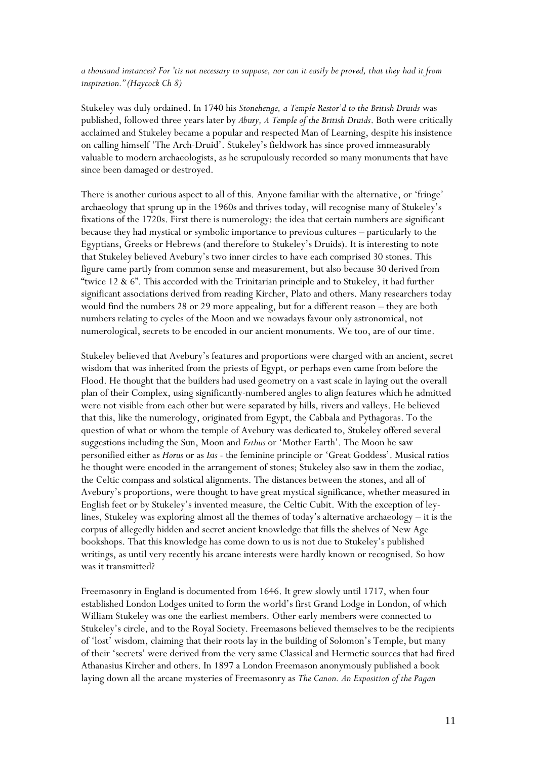*a thousand instances? For 'tis not necessary to suppose, nor can it easily be proved, that they had it from inspiration." (Haycock Ch 8)*

Stukeley was duly ordained. In 1740 his *Stonehenge, a Temple Restor'd to the British Druids* was published, followed three years later by *Abury, A Temple of the British Druids*. Both were critically acclaimed and Stukeley became a popular and respected Man of Learning, despite his insistence on calling himself 'The Arch-Druid'. Stukeley's fieldwork has since proved immeasurably valuable to modern archaeologists, as he scrupulously recorded so many monuments that have since been damaged or destroyed.

There is another curious aspect to all of this. Anyone familiar with the alternative, or 'fringe' archaeology that sprung up in the 1960s and thrives today, will recognise many of Stukeley's fixations of the 1720s. First there is numerology: the idea that certain numbers are significant because they had mystical or symbolic importance to previous cultures – particularly to the Egyptians, Greeks or Hebrews (and therefore to Stukeley's Druids). It is interesting to note that Stukeley believed Avebury's two inner circles to have each comprised 30 stones. This figure came partly from common sense and measurement, but also because 30 derived from "twice 12  $\&$  6". This accorded with the Trinitarian principle and to Stukeley, it had further significant associations derived from reading Kircher, Plato and others. Many researchers today would find the numbers 28 or 29 more appealing, but for a different reason – they are both numbers relating to cycles of the Moon and we nowadays favour only astronomical, not numerological, secrets to be encoded in our ancient monuments. We too, are of our time.

Stukeley believed that Avebury's features and proportions were charged with an ancient, secret wisdom that was inherited from the priests of Egypt, or perhaps even came from before the Flood. He thought that the builders had used geometry on a vast scale in laying out the overall plan of their Complex, using significantly-numbered angles to align features which he admitted were not visible from each other but were separated by hills, rivers and valleys. He believed that this, like the numerology, originated from Egypt, the Cabbala and Pythagoras. To the question of what or whom the temple of Avebury was dedicated to, Stukeley offered several suggestions including the Sun, Moon and *Erthus* or 'Mother Earth'. The Moon he saw personified either as *Horus* or as *Isis* - the feminine principle or 'Great Goddess'. Musical ratios he thought were encoded in the arrangement of stones; Stukeley also saw in them the zodiac, the Celtic compass and solstical alignments. The distances between the stones, and all of Avebury's proportions, were thought to have great mystical significance, whether measured in English feet or by Stukeley's invented measure, the Celtic Cubit. With the exception of leylines, Stukeley was exploring almost all the themes of today's alternative archaeology – it is the corpus of allegedly hidden and secret ancient knowledge that fills the shelves of New Age bookshops. That this knowledge has come down to us is not due to Stukeley's published writings, as until very recently his arcane interests were hardly known or recognised. So how was it transmitted?

Freemasonry in England is documented from 1646. It grew slowly until 1717, when four established London Lodges united to form the world's first Grand Lodge in London, of which William Stukeley was one the earliest members. Other early members were connected to Stukeley's circle, and to the Royal Society. Freemasons believed themselves to be the recipients of 'lost' wisdom, claiming that their roots lay in the building of Solomon's Temple, but many of their 'secrets' were derived from the very same Classical and Hermetic sources that had fired Athanasius Kircher and others. In 1897 a London Freemason anonymously published a book laying down all the arcane mysteries of Freemasonry as *The Canon. An Exposition of the Pagan*